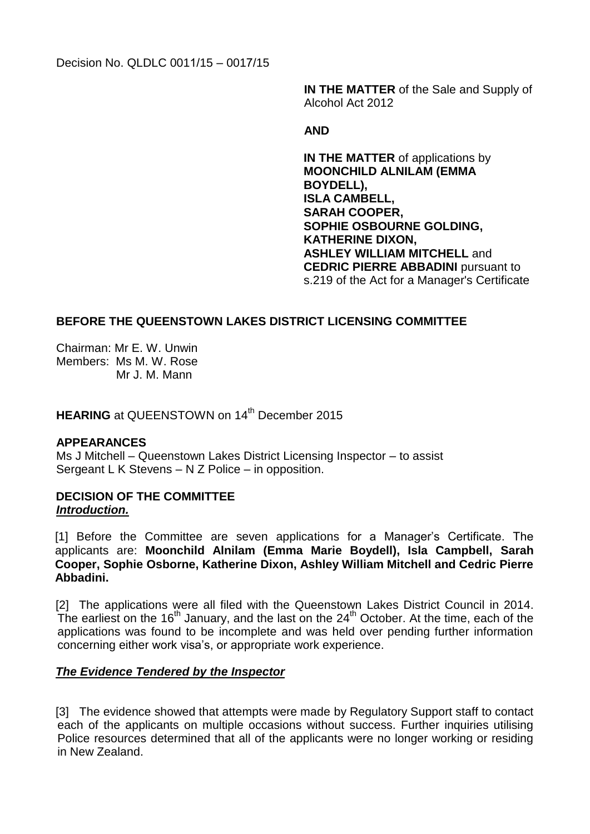Decision No. QLDLC 0011/15 – 0017/15

**IN THE MATTER** of the Sale and Supply of Alcohol Act 2012

## **AND**

**IN THE MATTER** of applications by **MOONCHILD ALNILAM (EMMA BOYDELL), ISLA CAMBELL, SARAH COOPER, SOPHIE OSBOURNE GOLDING, KATHERINE DIXON, ASHLEY WILLIAM MITCHELL** and **CEDRIC PIERRE ABBADINI** pursuant to s.219 of the Act for a Manager's Certificate

# **BEFORE THE QUEENSTOWN LAKES DISTRICT LICENSING COMMITTEE**

Chairman: Mr E. W. Unwin Members: Ms M. W. Rose Mr J. M. Mann

**HEARING** at QUEENSTOWN on 14<sup>th</sup> December 2015

## **APPEARANCES**

Ms J Mitchell – Queenstown Lakes District Licensing Inspector – to assist Sergeant L K Stevens – N Z Police – in opposition.

## **DECISION OF THE COMMITTEE**  *Introduction.*

 [1] Before the Committee are seven applications for a Manager's Certificate. The applicants are: **Moonchild Alnilam (Emma Marie Boydell), Isla Campbell, Sarah Cooper, Sophie Osborne, Katherine Dixon, Ashley William Mitchell and Cedric Pierre Abbadini.**

[2] The applications were all filed with the Queenstown Lakes District Council in 2014. The earliest on the  $16<sup>th</sup>$  January, and the last on the  $24<sup>th</sup>$  October. At the time, each of the applications was found to be incomplete and was held over pending further information concerning either work visa's, or appropriate work experience.

## *The Evidence Tendered by the Inspector*

[3] The evidence showed that attempts were made by Regulatory Support staff to contact each of the applicants on multiple occasions without success. Further inquiries utilising Police resources determined that all of the applicants were no longer working or residing in New Zealand.